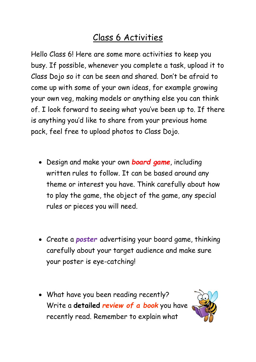## Class 6 Activities

Hello Class 6! Here are some more activities to keep you busy. If possible, whenever you complete a task, upload it to Class Dojo so it can be seen and shared. Don't be afraid to come up with some of your own ideas, for example growing your own veg, making models or anything else you can think of. I look forward to seeing what you've been up to. If there is anything you'd like to share from your previous home pack, feel free to upload photos to Class Dojo.

- Design and make your own *board game*, including written rules to follow. It can be based around any theme or interest you have. Think carefully about how to play the game, the object of the game, any special rules or pieces you will need.
- Create a *poster* advertising your board game, thinking carefully about your target audience and make sure your poster is eye-catching!
- What have you been reading recently? Write a **detailed** *review of a book* you have recently read. Remember to explain what

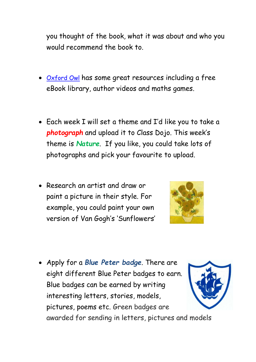you thought of the book, what it was about and who you would recommend the book to.

- [Oxford Owl](https://home.oxfordowl.co.uk/) has some great resources including a free eBook library, author videos and maths games.
- Each week I will set a theme and I'd like you to take a *photograph* and upload it to Class Dojo. This week's theme is *Nature*. If you like, you could take lots of photographs and pick your favourite to upload.
- Research an artist and draw or paint a picture in their style. For example, you could paint your own version of Van Gogh's 'Sunflowers'



• Apply for a *Blue Peter badge*. There are eight different Blue Peter badges to earn. Blue badges can be earned by writing interesting letters, stories, models, pictures, poems etc. Green badges are awarded for sending in letters, pictures and models

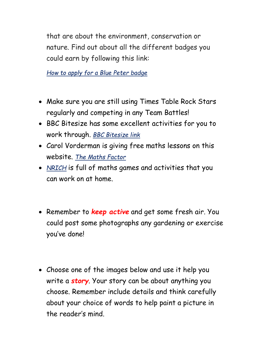that are about the environment, conservation or nature. Find out about all the different badges you could earn by following this link:

*[How to apply for a Blue Peter badge](https://www.bbc.co.uk/cbbc/joinin/about-blue-peter-badges)* 

- Make sure you are still using Times Table Rock Stars regularly and competing in any Team Battles!
- BBC Bitesize has some excellent activities for you to work through. *[BBC Bitesize link](https://www.bbc.co.uk/bitesize/subjects/z826n39)*
- Carol Vorderman is giving free maths lessons on this website. *[The Maths Factor](https://www.themathsfactor.com/)*
- *[NRICH](https://nrich.maths.org/primary)* is full of maths games and activities that you can work on at home.
- Remember to *keep active* and get some fresh air. You could post some photographs any gardening or exercise you've done!
- Choose one of the images below and use it help you write a *story*. Your story can be about anything you choose. Remember include details and think carefully about your choice of words to help paint a picture in the reader's mind.